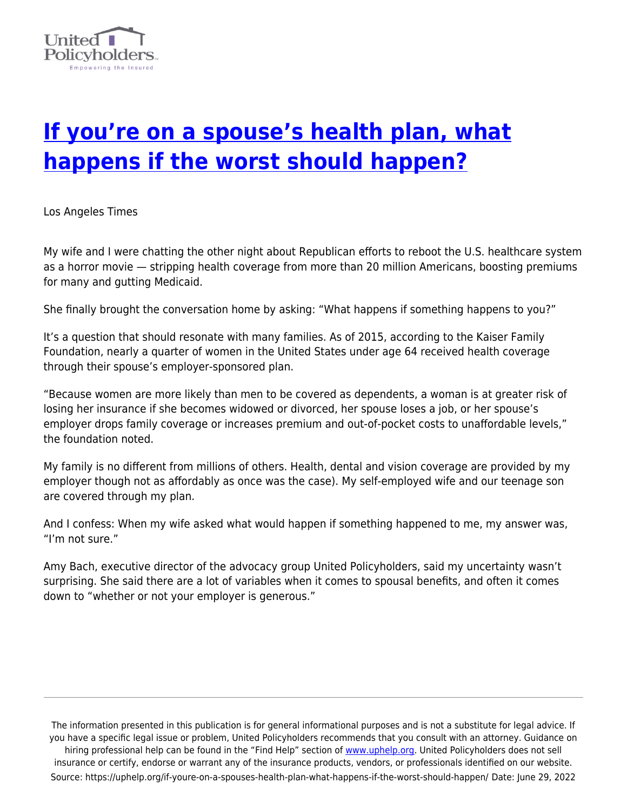

## **[If you're on a spouse's health plan, what](https://uphelp.org/if-youre-on-a-spouses-health-plan-what-happens-if-the-worst-should-happen/) [happens if the worst should happen?](https://uphelp.org/if-youre-on-a-spouses-health-plan-what-happens-if-the-worst-should-happen/)**

Los Angeles Times

My wife and I were chatting the other night about Republican efforts to reboot the U.S. healthcare system as a horror movie — stripping health coverage from more than 20 million Americans, boosting premiums for many and gutting Medicaid.

She finally brought the conversation home by asking: "What happens if something happens to you?"

It's a question that should resonate with many families. As of 2015, according to the Kaiser Family Foundation, nearly a quarter of women in the United States under age 64 received health coverage through their spouse's employer-sponsored plan.

"Because women are more likely than men to be covered as dependents, a woman is at greater risk of losing her insurance if she becomes widowed or divorced, her spouse loses a job, or her spouse's employer drops family coverage or increases premium and out-of-pocket costs to unaffordable levels," the foundation noted.

My family is no different from millions of others. Health, dental and vision coverage are provided by my employer though not as affordably as once was the case). My self-employed wife and our teenage son are covered through my plan.

And I confess: When my wife asked what would happen if something happened to me, my answer was, "I'm not sure."

Amy Bach, executive director of the advocacy group United Policyholders, said my uncertainty wasn't surprising. She said there are a lot of variables when it comes to spousal benefits, and often it comes down to "whether or not your employer is generous."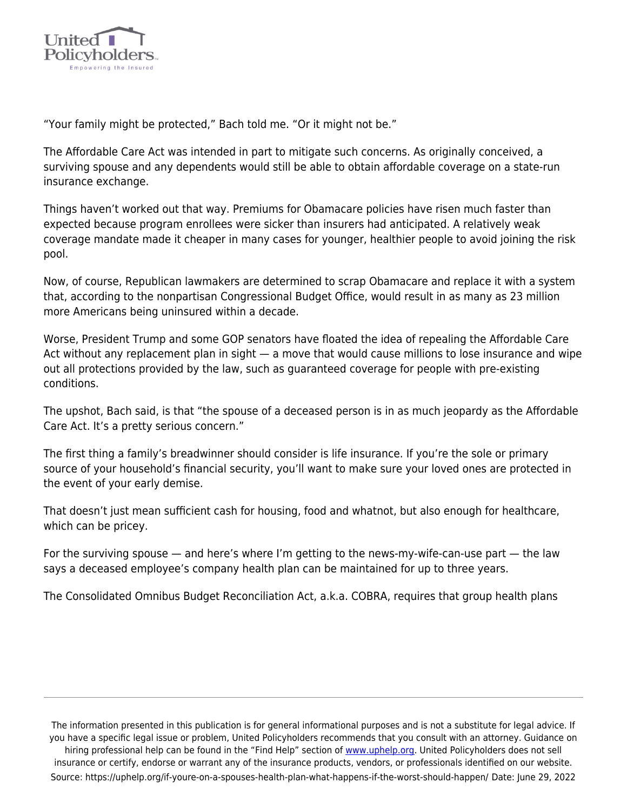

"Your family might be protected," Bach told me. "Or it might not be."

The Affordable Care Act was intended in part to mitigate such concerns. As originally conceived, a surviving spouse and any dependents would still be able to obtain affordable coverage on a state-run insurance exchange.

Things haven't worked out that way. Premiums for Obamacare policies have risen much faster than expected because program enrollees were sicker than insurers had anticipated. A relatively weak coverage mandate made it cheaper in many cases for younger, healthier people to avoid joining the risk pool.

Now, of course, Republican lawmakers are determined to scrap Obamacare and replace it with a system that, according to the nonpartisan Congressional Budget Office, would result in as many as 23 million more Americans being uninsured within a decade.

Worse, President Trump and some GOP senators have floated the idea of repealing the Affordable Care Act without any replacement plan in sight - a move that would cause millions to lose insurance and wipe out all protections provided by the law, such as guaranteed coverage for people with pre-existing conditions.

The upshot, Bach said, is that "the spouse of a deceased person is in as much jeopardy as the Affordable Care Act. It's a pretty serious concern."

The first thing a family's breadwinner should consider is life insurance. If you're the sole or primary source of your household's financial security, you'll want to make sure your loved ones are protected in the event of your early demise.

That doesn't just mean sufficient cash for housing, food and whatnot, but also enough for healthcare, which can be pricey.

For the surviving spouse — and here's where I'm getting to the news-my-wife-can-use part — the law says a deceased employee's company health plan can be maintained for up to three years.

The Consolidated Omnibus Budget Reconciliation Act, a.k.a. COBRA, requires that group health plans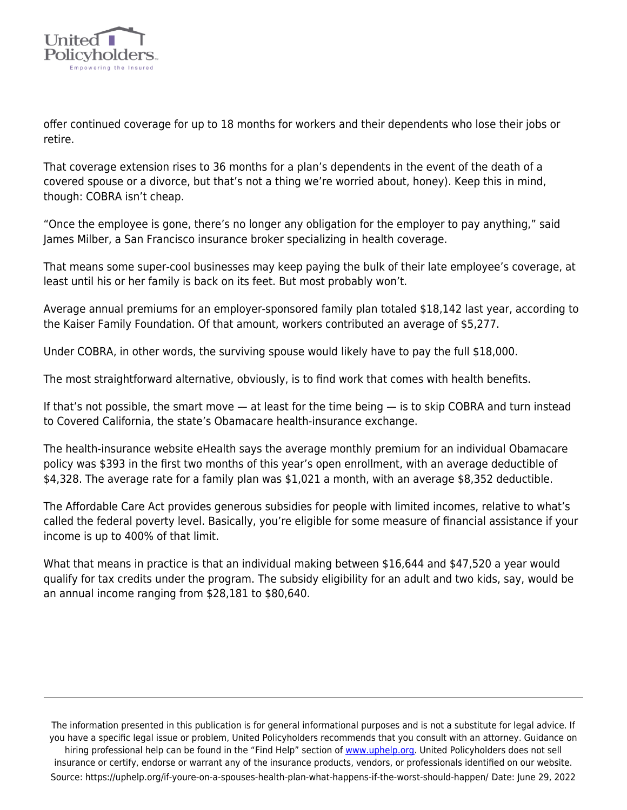

offer continued coverage for up to 18 months for workers and their dependents who lose their jobs or retire.

That coverage extension rises to 36 months for a plan's dependents in the event of the death of a covered spouse or a divorce, but that's not a thing we're worried about, honey). Keep this in mind, though: COBRA isn't cheap.

"Once the employee is gone, there's no longer any obligation for the employer to pay anything," said James Milber, a San Francisco insurance broker specializing in health coverage.

That means some super-cool businesses may keep paying the bulk of their late employee's coverage, at least until his or her family is back on its feet. But most probably won't.

Average annual premiums for an employer-sponsored family plan totaled \$18,142 last year, according to the Kaiser Family Foundation. Of that amount, workers contributed an average of \$5,277.

Under COBRA, in other words, the surviving spouse would likely have to pay the full \$18,000.

The most straightforward alternative, obviously, is to find work that comes with health benefits.

If that's not possible, the smart move — at least for the time being — is to skip COBRA and turn instead to Covered California, the state's Obamacare health-insurance exchange.

The health-insurance website eHealth says the average monthly premium for an individual Obamacare policy was \$393 in the first two months of this year's open enrollment, with an average deductible of \$4,328. The average rate for a family plan was \$1,021 a month, with an average \$8,352 deductible.

The Affordable Care Act provides generous subsidies for people with limited incomes, relative to what's called the federal poverty level. Basically, you're eligible for some measure of financial assistance if your income is up to 400% of that limit.

What that means in practice is that an individual making between \$16,644 and \$47,520 a year would qualify for tax credits under the program. The subsidy eligibility for an adult and two kids, say, would be an annual income ranging from \$28,181 to \$80,640.